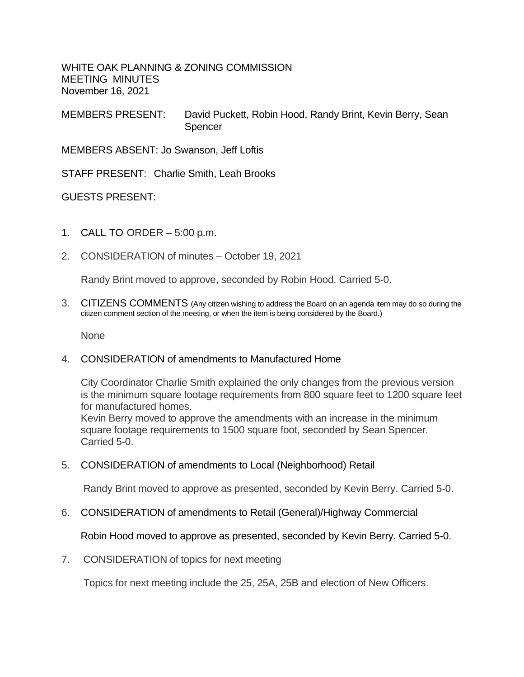WHITE OAK PLANNING & ZONING COMMISSION MEETING MINUTES November 16, 2021

MEMBERS PRESENT: David Puckett, Robin Hood, Randy Brint, Kevin Berry, Sean **Spencer** 

MEMBERS ABSENT: Jo Swanson, Jeff Loftis

STAFF PRESENT: Charlie Smith, Leah Brooks

GUESTS PRESENT:

- 1. CALL TO ORDER 5:00 p.m.
- 2. CONSIDERATION of minutes October 19, 2021

Randy Brint moved to approve, seconded by Robin Hood. Carried 5-0.

3. CITIZENS COMMENTS (Any citizen wishing to address the Board on an agenda item may do so during the citizen comment section of the meeting, or when the item is being considered by the Board.)

None

## 4. CONSIDERATION of amendments to Manufactured Home

City Coordinator Charlie Smith explained the only changes from the previous version is the minimum square footage requirements from 800 square feet to 1200 square feet for manufactured homes.

Kevin Berry moved to approve the amendments with an increase in the minimum square footage requirements to 1500 square foot, seconded by Sean Spencer. Carried 5-0.

5. CONSIDERATION of amendments to Local (Neighborhood) Retail

Randy Brint moved to approve as presented, seconded by Kevin Berry. Carried 5-0.

6. CONSIDERATION of amendments to Retail (General)/Highway Commercial

Robin Hood moved to approve as presented, seconded by Kevin Berry. Carried 5-0.

7. CONSIDERATION of topics for next meeting

Topics for next meeting include the 25, 25A, 25B and election of New Officers.